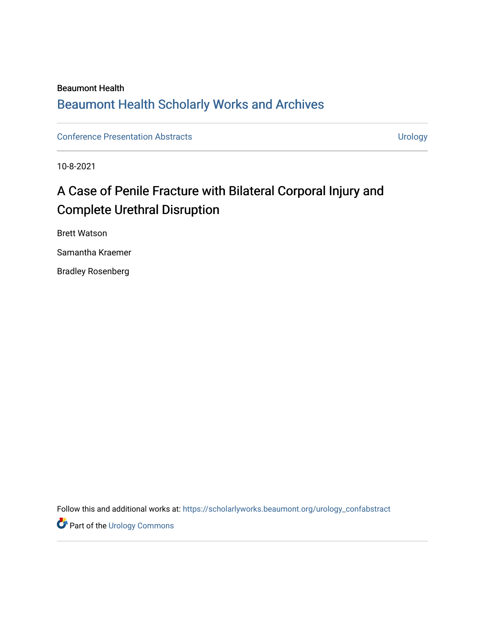## Beaumont Health [Beaumont Health Scholarly Works and Archives](https://scholarlyworks.beaumont.org/)

[Conference Presentation Abstracts](https://scholarlyworks.beaumont.org/urology_confabstract) **Conference Presentation Abstracts Urology** 

10-8-2021

## A Case of Penile Fracture with Bilateral Corporal Injury and Complete Urethral Disruption

Brett Watson

Samantha Kraemer

Bradley Rosenberg

Follow this and additional works at: [https://scholarlyworks.beaumont.org/urology\\_confabstract](https://scholarlyworks.beaumont.org/urology_confabstract?utm_source=scholarlyworks.beaumont.org%2Furology_confabstract%2F20&utm_medium=PDF&utm_campaign=PDFCoverPages)

**Part of the Urology Commons**